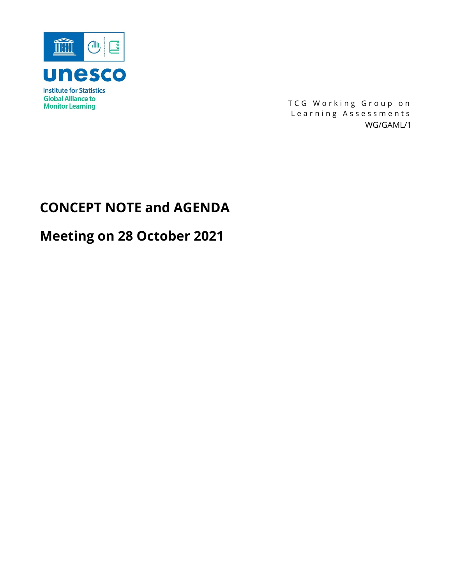

TCG Working Group on Learning Assessments WG/GAML/1

# **CONCEPT NOTE and AGENDA**

# **Meeting on 28 October 2021**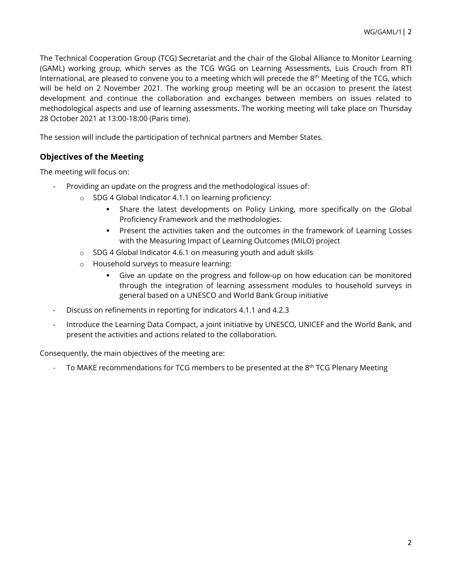The Technical Cooperation Group (TCG) Secretariat and the chair of the Global Alliance to Monitor Learning (GAML) working group, which serves as the TCG WGG on Learning Assessments, Luis Crouch from RTI International, are pleased to convene you to a meeting which will precede the 8th Meeting of the TCG, which will be held on 2 November 2021. The working group meeting will be an occasion to present the latest development and continue the collaboration and exchanges between members on issues related to methodological aspects and use of learning assessments. The working meeting will take place on Thursday 28 October 2021 at 13:00-18:00 (Paris time).

The session will include the participation of technical partners and Member States.

## **Objectives of the Meeting**

The meeting will focus on:

- Providing an update on the progress and the methodological issues of:
	- o SDG 4 Global Indicator 4.1.1 on learning proficiency:
		- Share the latest developments on Policy Linking, more specifically on the Global Proficiency Framework and the methodologies.
		- **Present the activities taken and the outcomes in the framework of Learning Losses** with the Measuring Impact of Learning Outcomes (MILO) project
	- o SDG 4 Global Indicator 4.6.1 on measuring youth and adult skills
	- o Household surveys to measure learning:
		- Give an update on the progress and follow-up on how education can be monitored through the integration of learning assessment modules to household surveys in general based on a UNESCO and World Bank Group initiative
- Discuss on refinements in reporting for indicators 4.1.1 and 4.2.3
- Introduce the Learning Data Compact, a joint initiative by UNESCO, UNICEF and the World Bank, and present the activities and actions related to the collaboration.

Consequently, the main objectives of the meeting are:

To MAKE recommendations for TCG members to be presented at the  $8<sup>th</sup> TCG$  Plenary Meeting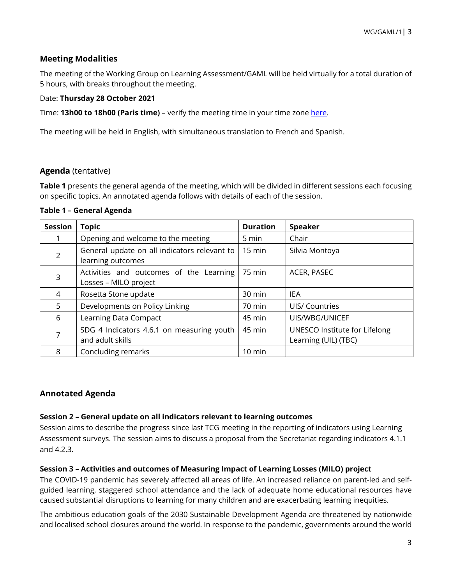## **Meeting Modalities**

The meeting of the Working Group on Learning Assessment/GAML will be held virtually for a total duration of 5 hours, with breaks throughout the meeting.

#### Date: **Thursday 28 October 2021**

Time: **13h00 to 18h00 (Paris time)** – verify the meeting time in your time zone [here.](https://www.timeanddate.com/worldclock/fixedtime.html?msg=Global+Alliance+to+Monitor+Learning&iso=20211028T13&p1=195&ah=5)

The meeting will be held in English, with simultaneous translation to French and Spanish.

### **Agenda** (tentative)

**Table 1** presents the general agenda of the meeting, which will be divided in different sessions each focusing on specific topics. An annotated agenda follows with details of each of the session.

#### **Table 1 – General Agenda**

| <b>Session</b> | <b>Topic</b>                                                      | <b>Duration</b>  | <b>Speaker</b>                                        |
|----------------|-------------------------------------------------------------------|------------------|-------------------------------------------------------|
|                | Opening and welcome to the meeting                                | 5 min            | Chair                                                 |
| $\mathcal{P}$  | General update on all indicators relevant to<br>learning outcomes | 15 min           | Silvia Montoya                                        |
| 3              | Activities and outcomes of the Learning<br>Losses - MILO project  | 75 min           | ACER, PASEC                                           |
| 4              | Rosetta Stone update                                              | 30 min           | <b>IEA</b>                                            |
| 5.             | Developments on Policy Linking                                    | 70 min           | UIS/ Countries                                        |
| 6              | Learning Data Compact                                             | 45 min           | UIS/WBG/UNICEF                                        |
|                | SDG 4 Indicators 4.6.1 on measuring youth<br>and adult skills     | 45 min           | UNESCO Institute for Lifelong<br>Learning (UIL) (TBC) |
| 8              | Concluding remarks                                                | $10 \text{ min}$ |                                                       |

## **Annotated Agenda**

#### **Session 2 – General update on all indicators relevant to learning outcomes**

Session aims to describe the progress since last TCG meeting in the reporting of indicators using Learning Assessment surveys. The session aims to discuss a proposal from the Secretariat regarding indicators 4.1.1 and 4.2.3.

#### **Session 3 – Activities and outcomes of Measuring Impact of Learning Losses (MILO) project**

The COVID-19 pandemic has severely affected all areas of life. An increased reliance on parent-led and selfguided learning, staggered school attendance and the lack of adequate home educational resources have caused substantial disruptions to learning for many children and are exacerbating learning inequities.

The ambitious education goals of the 2030 Sustainable Development Agenda are threatened by nationwide and localised school closures around the world. In response to the pandemic, governments around the world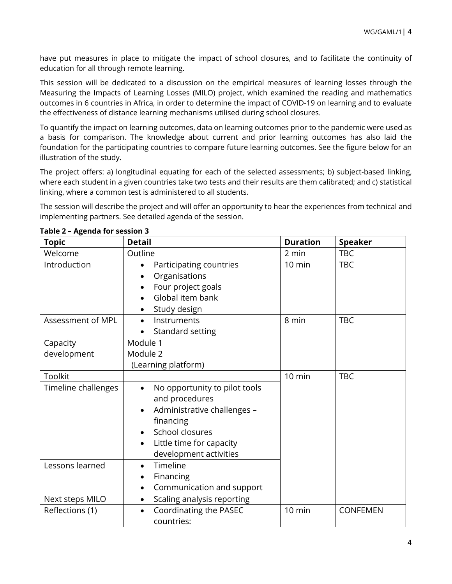have put measures in place to mitigate the impact of school closures, and to facilitate the continuity of education for all through remote learning.

This session will be dedicated to a discussion on the empirical measures of learning losses through the Measuring the Impacts of Learning Losses (MILO) project, which examined the reading and mathematics outcomes in 6 countries in Africa, in order to determine the impact of COVID-19 on learning and to evaluate the effectiveness of distance learning mechanisms utilised during school closures.

To quantify the impact on learning outcomes, data on learning outcomes prior to the pandemic were used as a basis for comparison. The knowledge about current and prior learning outcomes has also laid the foundation for the participating countries to compare future learning outcomes. See the figure below for an illustration of the study.

The project offers: a) longitudinal equating for each of the selected assessments; b) subject-based linking, where each student in a given countries take two tests and their results are them calibrated; and c) statistical linking, where a common test is administered to all students.

The session will describe the project and will offer an opportunity to hear the experiences from technical and implementing partners. See detailed agenda of the session.

| <b>Topic</b>                       | <b>Detail</b>                                                                                                                                                                                  | <b>Duration</b>  | <b>Speaker</b>  |
|------------------------------------|------------------------------------------------------------------------------------------------------------------------------------------------------------------------------------------------|------------------|-----------------|
| Welcome                            | Outline                                                                                                                                                                                        | 2 min            | <b>TBC</b>      |
| Introduction                       | Participating countries<br>$\bullet$<br>Organisations<br>Four project goals<br>Global item bank<br>Study design                                                                                | $10 \text{ min}$ | <b>TBC</b>      |
| Assessment of MPL                  | Instruments<br>$\bullet$<br>Standard setting                                                                                                                                                   | 8 min            | <b>TBC</b>      |
| Capacity<br>development            | Module 1<br>Module 2<br>(Learning platform)                                                                                                                                                    |                  |                 |
| Toolkit                            |                                                                                                                                                                                                | 10 min           | <b>TBC</b>      |
| Timeline challenges                | No opportunity to pilot tools<br>$\bullet$<br>and procedures<br>Administrative challenges -<br>financing<br>School closures<br>Little time for capacity<br>$\bullet$<br>development activities |                  |                 |
| Lessons learned<br>Next steps MILO | Timeline<br>Financing<br>Communication and support<br>$\bullet$<br>Scaling analysis reporting<br>$\bullet$                                                                                     |                  |                 |
| Reflections (1)                    | Coordinating the PASEC<br>$\bullet$<br>countries:                                                                                                                                              | 10 min           | <b>CONFEMEN</b> |

**Table 2 – Agenda for session 3**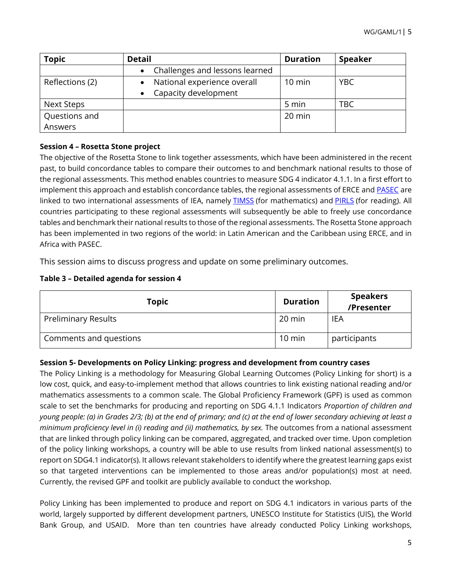| <b>Topic</b>    | <b>Detail</b>                  | <b>Duration</b>  | <b>Speaker</b> |
|-----------------|--------------------------------|------------------|----------------|
|                 | Challenges and lessons learned |                  |                |
| Reflections (2) | National experience overall    | $10 \text{ min}$ | YBC            |
|                 | Capacity development           |                  |                |
| Next Steps      |                                | 5 min            | <b>TBC</b>     |
| Questions and   |                                | $20$ min         |                |
| Answers         |                                |                  |                |

## **Session 4 – Rosetta Stone project**

The objective of the Rosetta Stone to link together assessments, which have been administered in the recent past, to build concordance tables to compare their outcomes to and benchmark national results to those of the regional assessments. This method enables countries to measure SDG 4 indicator 4.1.1. In a first effort to implement this approach and establish concordance tables, the regional assessments of ERCE and [PASEC](http://www.pasec.confemen.org/evaluation/evaluation-internationale-pasec2019/) are linked to two international assessments of IEA, namely **[TIMSS](http://www.pasec.confemen.org/evaluation/evaluation-internationale-pasec2019/)** (for mathematics) and [PIRLS](https://www.iea.nl/studies/iea/pirls) (for reading). All countries participating to these regional assessments will subsequently be able to freely use concordance tables and benchmark their national results to those of the regional assessments. The Rosetta Stone approach has been implemented in two regions of the world: in Latin American and the Caribbean using ERCE, and in Africa with PASEC.

This session aims to discuss progress and update on some preliminary outcomes.

|  | Table 3 - Detailed agenda for session 4 |  |  |
|--|-----------------------------------------|--|--|
|  |                                         |  |  |

| <b>Topic</b>               | <b>Duration</b> | <b>Speakers</b><br>/Presenter |
|----------------------------|-----------------|-------------------------------|
| <b>Preliminary Results</b> | 20 min          | IEA                           |
| Comments and questions     | 10 min          | participants                  |

## **Session 5- Developments on Policy Linking: progress and development from country cases**

The Policy Linking is a methodology for Measuring Global Learning Outcomes (Policy Linking for short) is a low cost, quick, and easy-to-implement method that allows countries to link existing national reading and/or mathematics assessments to a common scale. The Global Proficiency Framework (GPF) is used as common scale to set the benchmarks for producing and reporting on SDG 4.1.1 Indicators *Proportion of children and young people: (a) in Grades 2/3; (b) at the end of primary; and (c) at the end of lower secondary achieving at least a minimum proficiency level in (i) reading and (ii) mathematics, by sex.* The outcomes from a national assessment that are linked through policy linking can be compared, aggregated, and tracked over time. Upon completion of the policy linking workshops, a country will be able to use results from linked national assessment(s) to report on SDG4.1 indicator(s). It allows relevant stakeholders to identify where the greatest learning gaps exist so that targeted interventions can be implemented to those areas and/or population(s) most at need. Currently, the revised GPF and toolkit are publicly available to conduct the workshop.

Policy Linking has been implemented to produce and report on SDG 4.1 indicators in various parts of the world, largely supported by different development partners, UNESCO Institute for Statistics (UIS), the World Bank Group, and USAID. More than ten countries have already conducted Policy Linking workshops,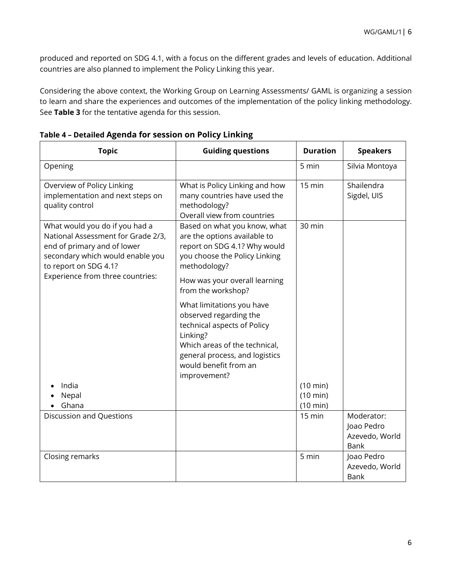produced and reported on SDG 4.1, with a focus on the different grades and levels of education. Additional countries are also planned to implement the Policy Linking this year.

Considering the above context, the Working Group on Learning Assessments/ GAML is organizing a session to learn and share the experiences and outcomes of the implementation of the policy linking methodology. See **Table 3** for the tentative agenda for this session.

| <b>Topic</b>                                                                                                                                                     | <b>Guiding questions</b>                                                                                                                                                                                   | <b>Duration</b>      | <b>Speakers</b>                                           |
|------------------------------------------------------------------------------------------------------------------------------------------------------------------|------------------------------------------------------------------------------------------------------------------------------------------------------------------------------------------------------------|----------------------|-----------------------------------------------------------|
| Opening                                                                                                                                                          |                                                                                                                                                                                                            | 5 min                | Silvia Montoya                                            |
| Overview of Policy Linking<br>implementation and next steps on<br>quality control                                                                                | What is Policy Linking and how<br>many countries have used the<br>methodology?<br>Overall view from countries                                                                                              | 15 min               | Shailendra<br>Sigdel, UIS                                 |
| What would you do if you had a<br>National Assessment for Grade 2/3,<br>end of primary and of lower<br>secondary which would enable you<br>to report on SDG 4.1? | Based on what you know, what<br>are the options available to<br>report on SDG 4.1? Why would<br>you choose the Policy Linking<br>methodology?                                                              | 30 min               |                                                           |
| Experience from three countries:                                                                                                                                 | How was your overall learning<br>from the workshop?                                                                                                                                                        |                      |                                                           |
|                                                                                                                                                                  | What limitations you have<br>observed regarding the<br>technical aspects of Policy<br>Linking?<br>Which areas of the technical,<br>general process, and logistics<br>would benefit from an<br>improvement? |                      |                                                           |
| India                                                                                                                                                            |                                                                                                                                                                                                            | (10 min)             |                                                           |
| Nepal<br>Ghana                                                                                                                                                   |                                                                                                                                                                                                            | (10 min)<br>(10 min) |                                                           |
| <b>Discussion and Questions</b>                                                                                                                                  |                                                                                                                                                                                                            | $15 \text{ min}$     | Moderator:<br>Joao Pedro<br>Azevedo, World<br><b>Bank</b> |
| Closing remarks                                                                                                                                                  |                                                                                                                                                                                                            | 5 min                | Joao Pedro<br>Azevedo, World<br>Bank                      |

**Table 4 – Detailed Agenda for session on Policy Linking**